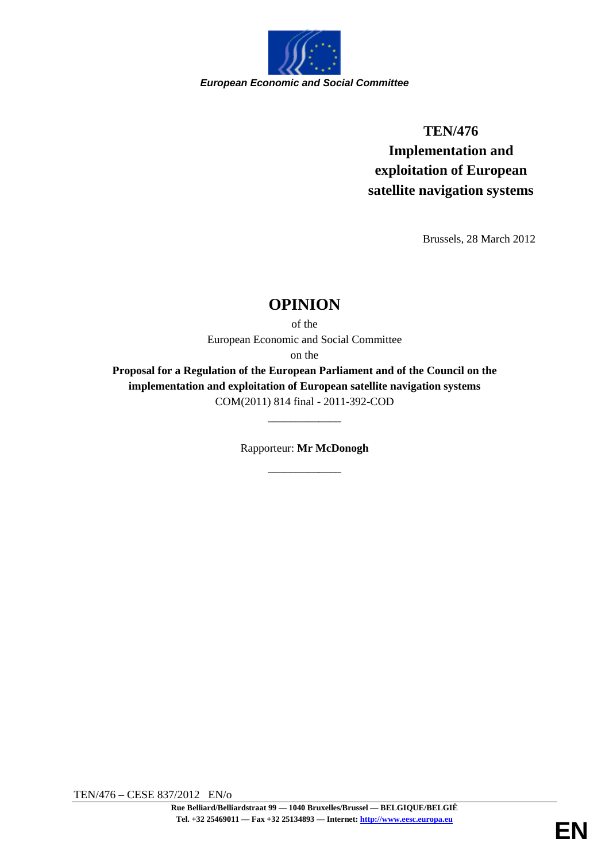

# **TEN/476 Implementation and exploitation of European satellite navigation systems**

Brussels, 28 March 2012

## **OPINION**

of the European Economic and Social Committee on the

**Proposal for a Regulation of the European Parliament and of the Council on the implementation and exploitation of European satellite navigation systems** COM(2011) 814 final - 2011-392-COD

> Rapporteur: **Mr McDonogh** \_\_\_\_\_\_\_\_\_\_\_\_\_

\_\_\_\_\_\_\_\_\_\_\_\_\_

TEN/476 – CESE 837/2012 EN/o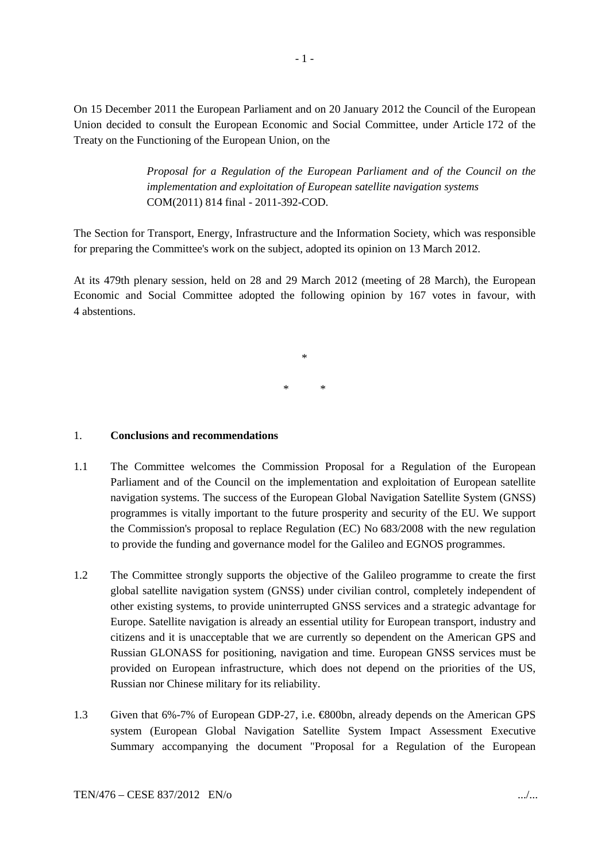On 15 December 2011 the European Parliament and on 20 January 2012 the Council of the European Union decided to consult the European Economic and Social Committee, under Article 172 of the Treaty on the Functioning of the European Union, on the

> *Proposal for a Regulation of the European Parliament and of the Council on the implementation and exploitation of European satellite navigation systems* COM(2011) 814 final - 2011-392-COD.

The Section for Transport, Energy, Infrastructure and the Information Society, which was responsible for preparing the Committee's work on the subject, adopted its opinion on 13 March 2012.

At its 479th plenary session, held on 28 and 29 March 2012 (meeting of 28 March), the European Economic and Social Committee adopted the following opinion by 167 votes in favour, with 4 abstentions.

> \* \* \*

#### 1. **Conclusions and recommendations**

- 1.1 The Committee welcomes the Commission Proposal for a Regulation of the European Parliament and of the Council on the implementation and exploitation of European satellite navigation systems. The success of the European Global Navigation Satellite System (GNSS) programmes is vitally important to the future prosperity and security of the EU. We support the Commission's proposal to replace Regulation (EC) No 683/2008 with the new regulation to provide the funding and governance model for the Galileo and EGNOS programmes.
- 1.2 The Committee strongly supports the objective of the Galileo programme to create the first global satellite navigation system (GNSS) under civilian control, completely independent of other existing systems, to provide uninterrupted GNSS services and a strategic advantage for Europe. Satellite navigation is already an essential utility for European transport, industry and citizens and it is unacceptable that we are currently so dependent on the American GPS and Russian GLONASS for positioning, navigation and time. European GNSS services must be provided on European infrastructure, which does not depend on the priorities of the US, Russian nor Chinese military for its reliability.
- 1.3 Given that 6%-7% of European GDP-27, i.e. €800bn, already depends on the American GPS system (European Global Navigation Satellite System Impact Assessment Executive Summary accompanying the document "Proposal for a Regulation of the European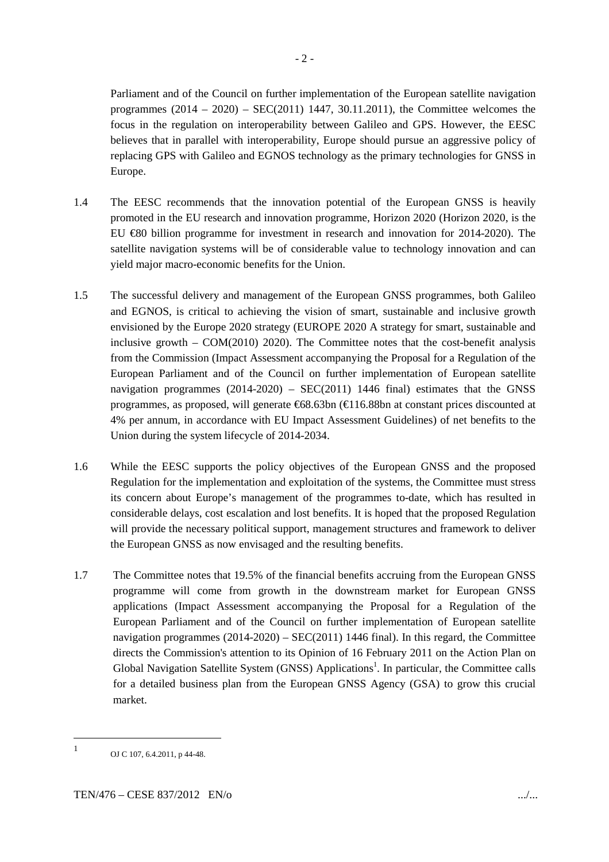Parliament and of the Council on further implementation of the European satellite navigation programmes  $(2014 - 2020) - SEC(2011)$  1447, 30.11.2011), the Committee welcomes the focus in the regulation on interoperability between Galileo and GPS. However, the EESC believes that in parallel with interoperability, Europe should pursue an aggressive policy of replacing GPS with Galileo and EGNOS technology as the primary technologies for GNSS in Europe.

- 1.4 The EESC recommends that the innovation potential of the European GNSS is heavily promoted in the EU research and innovation programme, Horizon 2020 (Horizon 2020, is the EU €80 billion programme for investment in research and innovation for 2014-2020). The satellite navigation systems will be of considerable value to technology innovation and can yield major macro-economic benefits for the Union.
- 1.5 The successful delivery and management of the European GNSS programmes, both Galileo and EGNOS, is critical to achieving the vision of smart, sustainable and inclusive growth envisioned by the Europe 2020 strategy (EUROPE 2020 A strategy for smart, sustainable and inclusive growth  $-$  COM(2010) 2020). The Committee notes that the cost-benefit analysis from the Commission (Impact Assessment accompanying the Proposal for a Regulation of the European Parliament and of the Council on further implementation of European satellite navigation programmes  $(2014-2020)$  – SEC(2011) 1446 final) estimates that the GNSS programmes, as proposed, will generate €68.63bn (€116.88bn at constant prices discounted at 4% per annum, in accordance with EU Impact Assessment Guidelines) of net benefits to the Union during the system lifecycle of 2014-2034.
- 1.6 While the EESC supports the policy objectives of the European GNSS and the proposed Regulation for the implementation and exploitation of the systems, the Committee must stress its concern about Europe's management of the programmes to-date, which has resulted in considerable delays, cost escalation and lost benefits. It is hoped that the proposed Regulation will provide the necessary political support, management structures and framework to deliver the European GNSS as now envisaged and the resulting benefits.
- 1.7 The Committee notes that 19.5% of the financial benefits accruing from the European GNSS programme will come from growth in the downstream market for European GNSS applications (Impact Assessment accompanying the Proposal for a Regulation of the European Parliament and of the Council on further implementation of European satellite navigation programmes  $(2014-2020)$  – SEC(2011) 1446 final). In this regard, the Committee directs the Commission's attention to its Opinion of 16 February 2011 on the Action Plan on Global Navigation Satellite System (GNSS) Applications<sup>1</sup>. In particular, the Committee calls for a detailed business plan from the European GNSS Agency (GSA) to grow this crucial market.

<sup>1</sup> OJ C 107, 6.4.2011, p 44-48.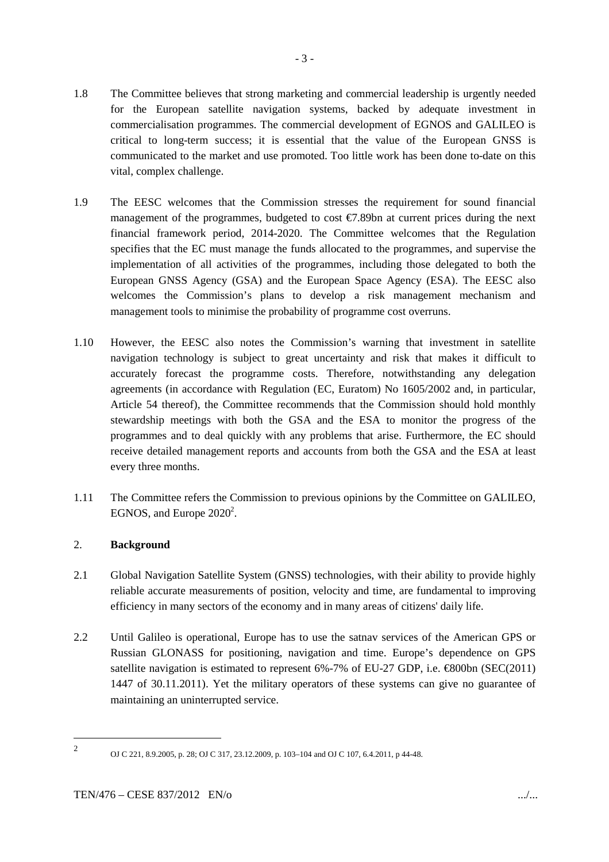- 1.8 The Committee believes that strong marketing and commercial leadership is urgently needed for the European satellite navigation systems, backed by adequate investment in commercialisation programmes. The commercial development of EGNOS and GALILEO is critical to long-term success; it is essential that the value of the European GNSS is communicated to the market and use promoted. Too little work has been done to-date on this vital, complex challenge.
- 1.9 The EESC welcomes that the Commission stresses the requirement for sound financial management of the programmes, budgeted to cost €7.89bn at current prices during the next financial framework period, 2014-2020. The Committee welcomes that the Regulation specifies that the EC must manage the funds allocated to the programmes, and supervise the implementation of all activities of the programmes, including those delegated to both the European GNSS Agency (GSA) and the European Space Agency (ESA). The EESC also welcomes the Commission's plans to develop a risk management mechanism and management tools to minimise the probability of programme cost overruns.
- 1.10 However, the EESC also notes the Commission's warning that investment in satellite navigation technology is subject to great uncertainty and risk that makes it difficult to accurately forecast the programme costs. Therefore, notwithstanding any delegation agreements (in accordance with Regulation (EC, Euratom) No 1605/2002 and, in particular, Article 54 thereof), the Committee recommends that the Commission should hold monthly stewardship meetings with both the GSA and the ESA to monitor the progress of the programmes and to deal quickly with any problems that arise. Furthermore, the EC should receive detailed management reports and accounts from both the GSA and the ESA at least every three months.
- 1.11 The Committee refers the Commission to previous opinions by the Committee on GALILEO, EGNOS, and Europe  $2020^2$ .

### 2. **Background**

- 2.1 Global Navigation Satellite System (GNSS) technologies, with their ability to provide highly reliable accurate measurements of position, velocity and time, are fundamental to improving efficiency in many sectors of the economy and in many areas of citizens' daily life.
- 2.2 Until Galileo is operational, Europe has to use the satnav services of the American GPS or Russian GLONASS for positioning, navigation and time. Europe's dependence on GPS satellite navigation is estimated to represent 6%-7% of EU-27 GDP, i.e.  $\bigoplus$  600bn (SEC(2011) 1447 of 30.11.2011). Yet the military operators of these systems can give no guarantee of maintaining an uninterrupted service.

<sup>2</sup>

OJ C 221, 8.9.2005, p. 28; OJ C 317, 23.12.2009, p. 103–104 and OJ C 107, 6.4.2011, p 44-48.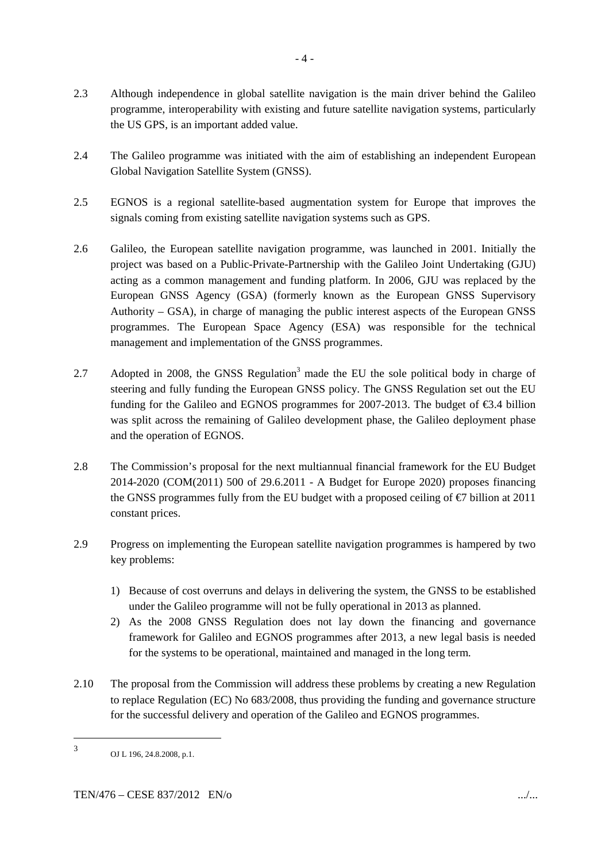- 2.3 Although independence in global satellite navigation is the main driver behind the Galileo programme, interoperability with existing and future satellite navigation systems, particularly the US GPS, is an important added value.
- 2.4 The Galileo programme was initiated with the aim of establishing an independent European Global Navigation Satellite System (GNSS).
- 2.5 EGNOS is a regional satellite-based augmentation system for Europe that improves the signals coming from existing satellite navigation systems such as GPS.
- 2.6 Galileo, the European satellite navigation programme, was launched in 2001. Initially the project was based on a Public-Private-Partnership with the Galileo Joint Undertaking (GJU) acting as a common management and funding platform. In 2006, GJU was replaced by the European GNSS Agency (GSA) (formerly known as the European GNSS Supervisory Authority – GSA), in charge of managing the public interest aspects of the European GNSS programmes. The European Space Agency (ESA) was responsible for the technical management and implementation of the GNSS programmes.
- 2.7 Adopted in 2008, the GNSS Regulation<sup>3</sup> made the EU the sole political body in charge of steering and fully funding the European GNSS policy. The GNSS Regulation set out the EU funding for the Galileo and EGNOS programmes for 2007-2013. The budget of  $\epsilon$ 3.4 billion was split across the remaining of Galileo development phase, the Galileo deployment phase and the operation of EGNOS.
- 2.8 The Commission's proposal for the next multiannual financial framework for the EU Budget 2014-2020 (COM(2011) 500 of 29.6.2011 - A Budget for Europe 2020) proposes financing the GNSS programmes fully from the EU budget with a proposed ceiling of  $\epsilon$  billion at 2011 constant prices.
- 2.9 Progress on implementing the European satellite navigation programmes is hampered by two key problems:
	- 1) Because of cost overruns and delays in delivering the system, the GNSS to be established under the Galileo programme will not be fully operational in 2013 as planned.
	- 2) As the 2008 GNSS Regulation does not lay down the financing and governance framework for Galileo and EGNOS programmes after 2013, a new legal basis is needed for the systems to be operational, maintained and managed in the long term.
- 2.10 The proposal from the Commission will address these problems by creating a new Regulation to replace Regulation (EC) No 683/2008, thus providing the funding and governance structure for the successful delivery and operation of the Galileo and EGNOS programmes.

<sup>3</sup> OJ L 196, 24.8.2008, p.1.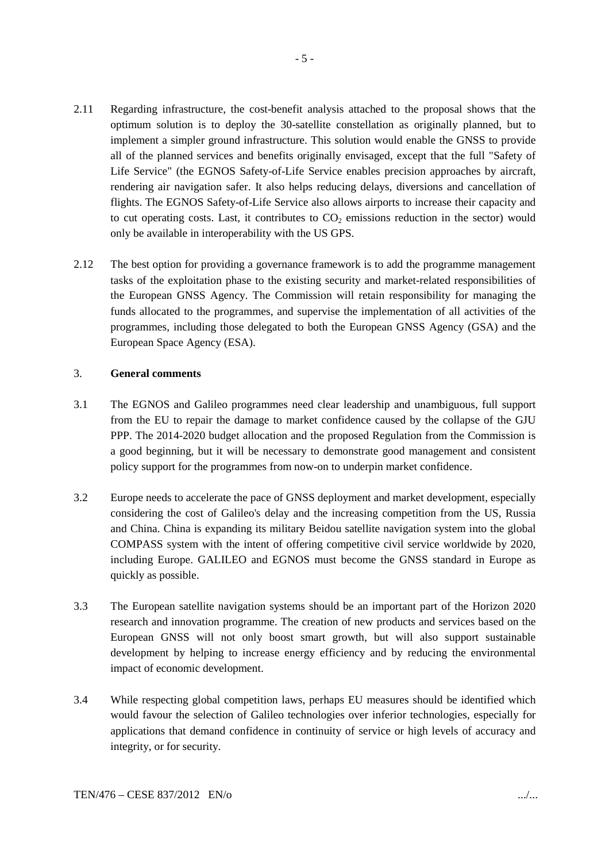- 2.11 Regarding infrastructure, the cost-benefit analysis attached to the proposal shows that the optimum solution is to deploy the 30-satellite constellation as originally planned, but to implement a simpler ground infrastructure. This solution would enable the GNSS to provide all of the planned services and benefits originally envisaged, except that the full "Safety of Life Service" (the EGNOS Safety-of-Life Service enables precision approaches by aircraft, rendering air navigation safer. It also helps reducing delays, diversions and cancellation of flights. The EGNOS Safety-of-Life Service also allows airports to increase their capacity and to cut operating costs. Last, it contributes to  $CO<sub>2</sub>$  emissions reduction in the sector) would only be available in interoperability with the US GPS.
- 2.12 The best option for providing a governance framework is to add the programme management tasks of the exploitation phase to the existing security and market-related responsibilities of the European GNSS Agency. The Commission will retain responsibility for managing the funds allocated to the programmes, and supervise the implementation of all activities of the programmes, including those delegated to both the European GNSS Agency (GSA) and the European Space Agency (ESA).

#### 3. **General comments**

- 3.1 The EGNOS and Galileo programmes need clear leadership and unambiguous, full support from the EU to repair the damage to market confidence caused by the collapse of the GJU PPP. The 2014-2020 budget allocation and the proposed Regulation from the Commission is a good beginning, but it will be necessary to demonstrate good management and consistent policy support for the programmes from now-on to underpin market confidence.
- 3.2 Europe needs to accelerate the pace of GNSS deployment and market development, especially considering the cost of Galileo's delay and the increasing competition from the US, Russia and China. China is expanding its military Beidou satellite navigation system into the global COMPASS system with the intent of offering competitive civil service worldwide by 2020, including Europe. GALILEO and EGNOS must become the GNSS standard in Europe as quickly as possible.
- 3.3 The European satellite navigation systems should be an important part of the Horizon 2020 research and innovation programme. The creation of new products and services based on the European GNSS will not only boost smart growth, but will also support sustainable development by helping to increase energy efficiency and by reducing the environmental impact of economic development.
- 3.4 While respecting global competition laws, perhaps EU measures should be identified which would favour the selection of Galileo technologies over inferior technologies, especially for applications that demand confidence in continuity of service or high levels of accuracy and integrity, or for security.